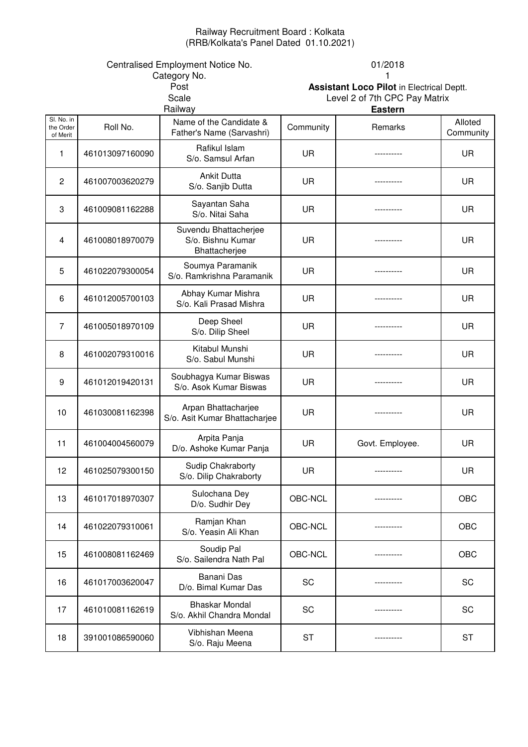#### Railway Recruitment Board : Kolkata (RRB/Kolkata's Panel Dated 01.10.2021)

# Centralised Employment Notice No. 01/2018<br>Category No. 01/2018

**Scale**<br>Railway Category No.<br>Post

Assistant Loco Pilot in Electrical Deptt. Level 2 of 7th CPC Pay Matrix

| Sl. No. in<br>Name of the Candidate &<br>Roll No.<br>Community<br>Remarks<br>the Order<br>Father's Name (Sarvashri)<br>of Merit<br>Rafikul Islam<br>461013097160090<br>UR<br>1<br>----------<br>S/o. Samsul Arfan<br><b>Ankit Dutta</b><br>$\overline{c}$<br>461007003620279<br>UR<br>S/o. Sanjib Dutta<br>Sayantan Saha<br>3<br>UR<br>461009081162288<br>S/o. Nitai Saha<br>Suvendu Bhattacherjee<br>S/o. Bishnu Kumar<br>UR<br>461008018970079<br>4 | Alloted<br>Community<br>UR<br>UR<br>UR<br>UR |
|-------------------------------------------------------------------------------------------------------------------------------------------------------------------------------------------------------------------------------------------------------------------------------------------------------------------------------------------------------------------------------------------------------------------------------------------------------|----------------------------------------------|
|                                                                                                                                                                                                                                                                                                                                                                                                                                                       |                                              |
|                                                                                                                                                                                                                                                                                                                                                                                                                                                       |                                              |
|                                                                                                                                                                                                                                                                                                                                                                                                                                                       |                                              |
|                                                                                                                                                                                                                                                                                                                                                                                                                                                       |                                              |
| Bhattacherjee                                                                                                                                                                                                                                                                                                                                                                                                                                         |                                              |
| Soumya Paramanik<br>UR<br>5<br>461022079300054<br>S/o. Ramkrishna Paramanik                                                                                                                                                                                                                                                                                                                                                                           | UR                                           |
| Abhay Kumar Mishra<br><b>UR</b><br>6<br>461012005700103<br>S/o. Kali Prasad Mishra                                                                                                                                                                                                                                                                                                                                                                    | UR                                           |
| Deep Sheel<br>$\overline{7}$<br>UR<br>461005018970109<br>----------<br>S/o. Dilip Sheel                                                                                                                                                                                                                                                                                                                                                               | UR                                           |
| Kitabul Munshi<br>8<br>461002079310016<br>UR<br>S/o. Sabul Munshi                                                                                                                                                                                                                                                                                                                                                                                     | UR                                           |
| Soubhagya Kumar Biswas<br>461012019420131<br>UR<br>9<br>S/o. Asok Kumar Biswas                                                                                                                                                                                                                                                                                                                                                                        | UR                                           |
| Arpan Bhattacharjee<br>10<br>461030081162398<br>UR<br>S/o. Asit Kumar Bhattacharjee                                                                                                                                                                                                                                                                                                                                                                   | UR                                           |
| Arpita Panja<br>11<br>UR<br>461004004560079<br>Govt. Employee.<br>D/o. Ashoke Kumar Panja                                                                                                                                                                                                                                                                                                                                                             | UR                                           |
| Sudip Chakraborty<br>12<br>461025079300150<br>UR<br>S/o. Dilip Chakraborty                                                                                                                                                                                                                                                                                                                                                                            | UR                                           |
| Sulochana Dey<br>13<br>461017018970307<br>OBC-NCL<br>D/o. Sudhir Dey                                                                                                                                                                                                                                                                                                                                                                                  | OBC                                          |
| Ramjan Khan<br>OBC-NCL<br>14<br>461022079310061<br>S/o. Yeasin Ali Khan                                                                                                                                                                                                                                                                                                                                                                               | OBC                                          |
| Soudip Pal<br>15<br>OBC-NCL<br>461008081162469<br>S/o. Sailendra Nath Pal                                                                                                                                                                                                                                                                                                                                                                             | OBC                                          |
| Banani Das<br>SC<br>461017003620047<br>16<br>D/o. Bimal Kumar Das                                                                                                                                                                                                                                                                                                                                                                                     | SC                                           |
| <b>Bhaskar Mondal</b><br>17<br>SC<br>461010081162619<br>S/o. Akhil Chandra Mondal                                                                                                                                                                                                                                                                                                                                                                     | SC                                           |
| Vibhishan Meena<br>391001086590060<br><b>ST</b><br>18<br>S/o. Raju Meena                                                                                                                                                                                                                                                                                                                                                                              | <b>ST</b>                                    |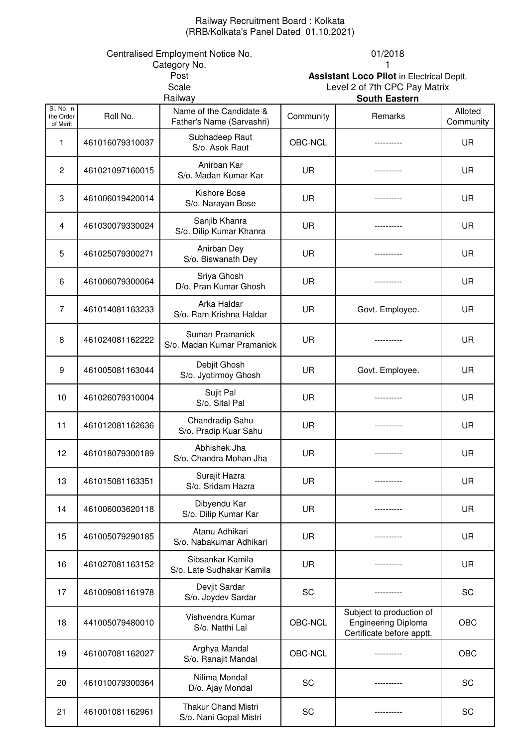## Railway Recruitment Board : Kolkata (RRB/Kolkata's Panel Dated 01.10.2021)

Category No. 2008 2009 12:00:00 12:00:00 12:00:00 12:00:00 12:00:00 12:00:00 12:00:00 12:00:00 12:00:00 12:00:00 12:00:00 12:00:00 12:00:00 12:00:00 12:00:00 12:00:00 12:00:00 12:00:00 12:00:00 12:00:00 12:00:00 12:00:00 1

#### Centralised Employment Notice No. 01/2018

21 461001081162961 Thakur Chand Mistri

| Post<br>Scale<br>Railway            |                 |                                                      | <b>Assistant Loco Pilot in Electrical Deptt.</b><br>Level 2 of 7th CPC Pay Matrix<br><b>South Eastern</b> |                                                                                     |                      |  |
|-------------------------------------|-----------------|------------------------------------------------------|-----------------------------------------------------------------------------------------------------------|-------------------------------------------------------------------------------------|----------------------|--|
| SI. No. in<br>the Order<br>of Merit | Roll No.        | Name of the Candidate &<br>Father's Name (Sarvashri) | Community                                                                                                 | Remarks                                                                             | Alloted<br>Community |  |
| 1                                   | 461016079310037 | Subhadeep Raut<br>S/o. Asok Raut                     | OBC-NCL                                                                                                   |                                                                                     | <b>UR</b>            |  |
| $\overline{2}$                      | 461021097160015 | Anirban Kar<br>S/o. Madan Kumar Kar                  | <b>UR</b>                                                                                                 |                                                                                     | <b>UR</b>            |  |
| 3                                   | 461006019420014 | Kishore Bose<br>S/o. Narayan Bose                    | <b>UR</b>                                                                                                 |                                                                                     | UR.                  |  |
| 4                                   | 461030079330024 | Sanjib Khanra<br>S/o. Dilip Kumar Khanra             | UR                                                                                                        |                                                                                     | <b>UR</b>            |  |
| 5                                   | 461025079300271 | Anirban Dey<br>S/o. Biswanath Dey                    | UR                                                                                                        |                                                                                     | <b>UR</b>            |  |
| 6                                   | 461006079300064 | Sriya Ghosh<br>D/o. Pran Kumar Ghosh                 | UR                                                                                                        |                                                                                     | <b>UR</b>            |  |
| $\overline{7}$                      | 461014081163233 | Arka Haldar<br>S/o. Ram Krishna Haldar               | <b>UR</b>                                                                                                 | Govt. Employee.                                                                     | <b>UR</b>            |  |
| 8                                   | 461024081162222 | Suman Pramanick<br>S/o. Madan Kumar Pramanick        | UR                                                                                                        |                                                                                     | <b>UR</b>            |  |
| 9                                   | 461005081163044 | Debjit Ghosh<br>S/o. Jyotirmoy Ghosh                 | UR                                                                                                        | Govt. Employee.                                                                     | <b>UR</b>            |  |
| 10                                  | 461026079310004 | Sujit Pal<br>S/o. Sital Pal                          | UR                                                                                                        |                                                                                     | <b>UR</b>            |  |
| 11                                  | 461012081162636 | Chandradip Sahu<br>S/o. Pradip Kuar Sahu             | UR                                                                                                        |                                                                                     | <b>UR</b>            |  |
| 12                                  | 461018079300189 | Abhishek Jha<br>S/o. Chandra Mohan Jha               | UR                                                                                                        |                                                                                     | <b>UR</b>            |  |
| 13                                  | 461015081163351 | Surajit Hazra<br>S/o. Sridam Hazra                   | UR                                                                                                        |                                                                                     | <b>UR</b>            |  |
| 14                                  | 461006003620118 | Dibyendu Kar<br>S/o. Dilip Kumar Kar                 | UR                                                                                                        |                                                                                     | UR.                  |  |
| 15                                  | 461005079290185 | Atanu Adhikari<br>S/o. Nabakumar Adhikari            | UR                                                                                                        |                                                                                     | <b>UR</b>            |  |
| 16                                  | 461027081163152 | Sibsankar Kamila<br>S/o. Late Sudhakar Kamila        | <b>UR</b>                                                                                                 |                                                                                     | <b>UR</b>            |  |
| 17                                  | 461009081161978 | Devjit Sardar<br>S/o. Joydev Sardar                  | SC                                                                                                        |                                                                                     | SC                   |  |
| 18                                  | 441005079480010 | Vishvendra Kumar<br>S/o. Natthi Lal                  | OBC-NCL                                                                                                   | Subject to production of<br><b>Engineering Diploma</b><br>Certificate before apptt. | OBC                  |  |
| 19                                  | 461007081162027 | Arghya Mandal<br>S/o. Ranajit Mandal                 | OBC-NCL                                                                                                   |                                                                                     | OBC                  |  |
| 20                                  | 461010079300364 | Nilima Mondal<br>D/o. Ajay Mondal                    | SC                                                                                                        |                                                                                     | SC                   |  |

S/o. Nani Gopal Mistri SC ---------- SC